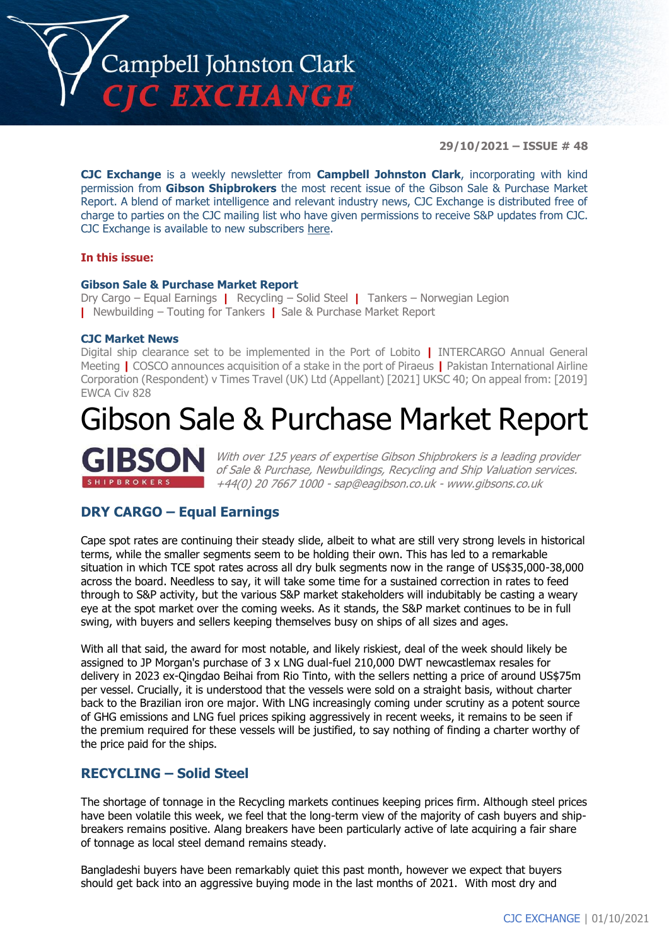

**29/10/2021 – ISSUE # 48**

**CJC Exchange** is a weekly newsletter from **Campbell Johnston Clark**, incorporating with kind permission from **Gibson Shipbrokers** the most recent issue of the Gibson Sale & Purchase Market Report. A blend of market intelligence and relevant industry news, CJC Exchange is distributed free of charge to parties on the CJC mailing list who have given permissions to receive S&P updates from CJC. CJC Exchange is available to new subscribers [here.](mailto:jamesc@cjclaw.com?subject=CJC%20Exchange%20sign-up)

#### **In this issue:**

#### **Gibson Sale & Purchase Market Report**

Dry Cargo – Equal Earnings **|** Recycling – Solid Steel **|** Tankers – Norwegian Legion **|** Newbuilding – Touting for Tankers **|** Sale & Purchase Market Report

#### **CJC Market News**

Digital ship clearance set to be implemented in the Port of Lobito **|** INTERCARGO Annual General Meeting **|** COSCO announces acquisition of a stake in the port of Piraeus **|** Pakistan International Airline Corporation (Respondent) v Times Travel (UK) Ltd (Appellant) [2021] UKSC 40; On appeal from: [2019] EWCA Civ 828

# Gibson Sale & Purchase Market Report



With over 125 years of expertise Gibson Shipbrokers is a leading provider of Sale & Purchase, Newbuildings, Recycling and Ship Valuation services. +44(0) 20 7667 1000 - [sap@eagibson.co.uk](mailto:sap@eagibson.co.uk) - [www.gibsons.co.uk](https://protect-eu.mimecast.com/s/VO6nCGZzRS60KqcK1jQh/)

## **DRY CARGO – Equal Earnings**

Cape spot rates are continuing their steady slide, albeit to what are still very strong levels in historical terms, while the smaller segments seem to be holding their own. This has led to a remarkable situation in which TCE spot rates across all dry bulk segments now in the range of US\$35,000-38,000 across the board. Needless to say, it will take some time for a sustained correction in rates to feed through to S&P activity, but the various S&P market stakeholders will indubitably be casting a weary eye at the spot market over the coming weeks. As it stands, the S&P market continues to be in full swing, with buyers and sellers keeping themselves busy on ships of all sizes and ages.

With all that said, the award for most notable, and likely riskiest, deal of the week should likely be assigned to JP Morgan's purchase of 3 x LNG dual-fuel 210,000 DWT newcastlemax resales for delivery in 2023 ex-Qingdao Beihai from Rio Tinto, with the sellers netting a price of around US\$75m per vessel. Crucially, it is understood that the vessels were sold on a straight basis, without charter back to the Brazilian iron ore major. With LNG increasingly coming under scrutiny as a potent source of GHG emissions and LNG fuel prices spiking aggressively in recent weeks, it remains to be seen if the premium required for these vessels will be justified, to say nothing of finding a charter worthy of the price paid for the ships.

#### **RECYCLING – Solid Steel**

The shortage of tonnage in the Recycling markets continues keeping prices firm. Although steel prices have been volatile this week, we feel that the long-term view of the majority of cash buyers and shipbreakers remains positive. Alang breakers have been particularly active of late acquiring a fair share of tonnage as local steel demand remains steady.

Bangladeshi buyers have been remarkably quiet this past month, however we expect that buyers should get back into an aggressive buying mode in the last months of 2021. With most dry and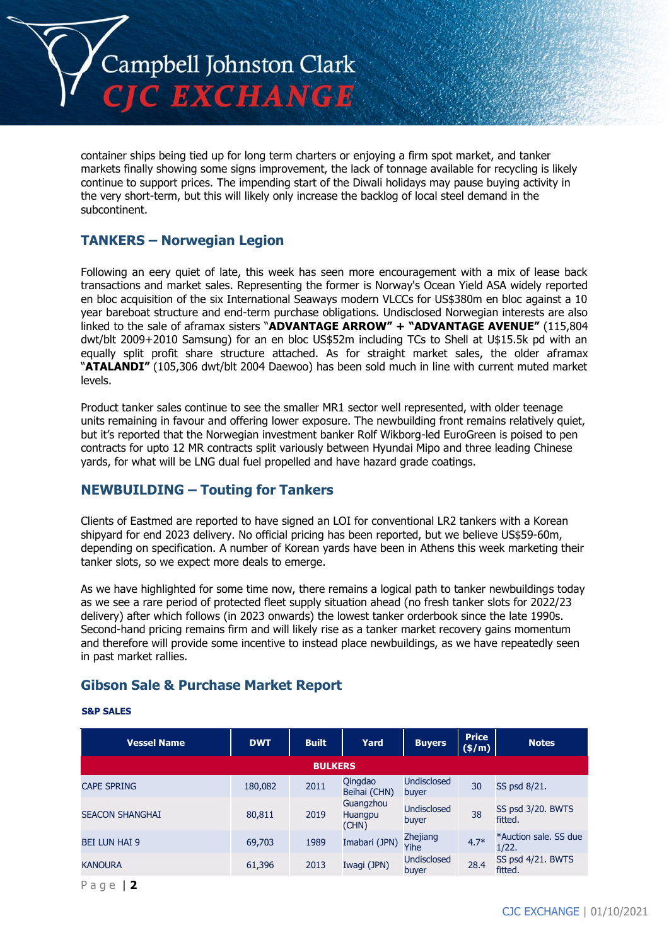

container ships being tied up for long term charters or enjoying a firm spot market, and tanker markets finally showing some signs improvement, the lack of tonnage available for recycling is likely continue to support prices. The impending start of the Diwali holidays may pause buying activity in the very short-term, but this will likely only increase the backlog of local steel demand in the subcontinent.

## **TANKERS – Norwegian Legion**

Following an eery quiet of late, this week has seen more encouragement with a mix of lease back transactions and market sales. Representing the former is Norway's Ocean Yield ASA widely reported en bloc acquisition of the six International Seaways modern VLCCs for US\$380m en bloc against a 10 year bareboat structure and end-term purchase obligations. Undisclosed Norwegian interests are also linked to the sale of aframax sisters "**ADVANTAGE ARROW" + "ADVANTAGE AVENUE"** (115,804 dwt/blt 2009+2010 Samsung) for an en bloc US\$52m including TCs to Shell at U\$15.5k pd with an equally split profit share structure attached. As for straight market sales, the older aframax "**ATALANDI"** (105,306 dwt/blt 2004 Daewoo) has been sold much in line with current muted market levels.

Product tanker sales continue to see the smaller MR1 sector well represented, with older teenage units remaining in favour and offering lower exposure. The newbuilding front remains relatively quiet, but it's reported that the Norwegian investment banker Rolf Wikborg-led EuroGreen is poised to pen contracts for upto 12 MR contracts split variously between Hyundai Mipo and three leading Chinese yards, for what will be LNG dual fuel propelled and have hazard grade coatings.

#### **NEWBUILDING – Touting for Tankers**

Clients of Eastmed are reported to have signed an LOI for conventional LR2 tankers with a Korean shipyard for end 2023 delivery. No official pricing has been reported, but we believe US\$59-60m, depending on specification. A number of Korean yards have been in Athens this week marketing their tanker slots, so we expect more deals to emerge.

As we have highlighted for some time now, there remains a logical path to tanker newbuildings today as we see a rare period of protected fleet supply situation ahead (no fresh tanker slots for 2022/23 delivery) after which follows (in 2023 onwards) the lowest tanker orderbook since the late 1990s. Second-hand pricing remains firm and will likely rise as a tanker market recovery gains momentum and therefore will provide some incentive to instead place newbuildings, as we have repeatedly seen in past market rallies.

## **Gibson Sale & Purchase Market Report**

#### **S&P SALES**

| <b>Vessel Name</b>     | <b>DWT</b> | <b>Built</b> | Yard                          | <b>Buyers</b>               | <b>Price</b><br>(\$/m) | <b>Notes</b>                   |  |  |
|------------------------|------------|--------------|-------------------------------|-----------------------------|------------------------|--------------------------------|--|--|
| <b>BULKERS</b>         |            |              |                               |                             |                        |                                |  |  |
| <b>CAPE SPRING</b>     | 180,082    | 2011         | Qingdao<br>Beihai (CHN)       | <b>Undisclosed</b><br>buyer | 30                     | SS psd 8/21.                   |  |  |
| <b>SEACON SHANGHAI</b> | 80,811     | 2019         | Guangzhou<br>Huangpu<br>(CHN) | Undisclosed<br>buyer        | 38                     | SS psd 3/20. BWTS<br>fitted.   |  |  |
| <b>BEI LUN HAI 9</b>   | 69,703     | 1989         | Imabari (JPN)                 | <b>Zhejiang</b><br>Yihe     | $4.7*$                 | *Auction sale, SS due<br>1/22. |  |  |
| <b>KANOURA</b>         | 61,396     | 2013         | Iwagi (JPN)                   | <b>Undisclosed</b><br>buyer | 28.4                   | SS psd 4/21. BWTS<br>fitted.   |  |  |

P a g e | **2**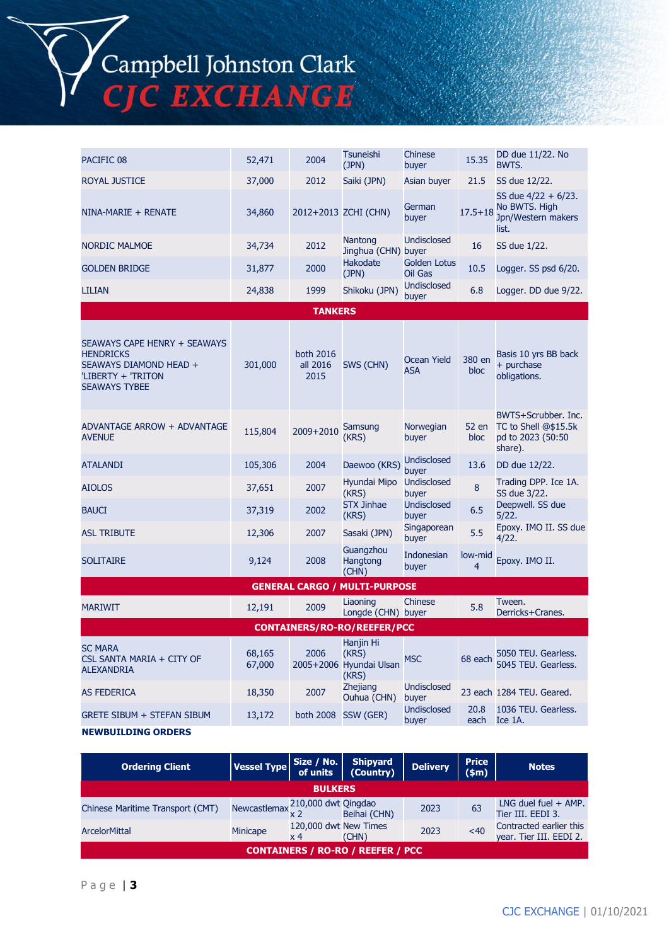Campbell Johnston Clark C EXCHANGE

PACIFIC 08 52,471 2004 Tsuneishi (JPN) Chinese Chinese 15.35 DD due 11/22. No<br>buyer 15.35 BWTS. BWTS. ROYAL JUSTICE 37,000 2012 Saiki (JPN) Asian buyer 21.5 SS due 12/22. NINA-MARIE + RENATE 34,860 2012+2013 ZCHI (CHN) German  $17.5+18$ SS due 4/22 + 6/23. No BWTS. High Jpn/Western makers list. NORDIC MALMOE 34,734 2012 Nantong Jinghua (CHN) buyer Undisclosed 16 SS due 1/22. GOLDEN BRIDGE 31,877 2000 Hakodate (JPN) Golden Lotus Golden Lotus 10.5 Logger. SS psd 6/20. LILIAN 24,838 1999 Shikoku (JPN) Undisclosed 6.8 Logger, DD due 9/22. **TANKERS** SEAWAYS CAPE HENRY + SEAWAYS **HENDRICKS** SEAWAYS DIAMOND HEAD + 'LIBERTY + 'TRITON SEAWAYS TYBEE 301,000 both 2016 all 2016 2015 SWS (CHN) Ocean Yield **ASA** 380 en bloc Basis 10 yrs BB back + purchase obligations. ADVANTAGE ARROW + ADVANTAGE AVENUE 115,804 2009+2010 Samsung (KRS) Norwegian buyer 52 en bloc BWTS+Scrubber. Inc. TC to Shell @\$15.5k pd to 2023 (50:50 .<br>share). ATALANDI 105,306 2004 Daewoo (KRS) Undisclosed 13.6 DD due 12/22. AIOLOS 37,651 <sup>2007</sup> Hyundai Mipo (KRS) Undisclosed buyer 8<br>buyer Trading DPP. Ice 1A. SS due 3/22. BAUCI 37,319 2002 STX Jinhae (KRS) Undisclosed Undisclosed 6.5 Deepwell. SS due<br>buyer 6.5 5/22. 5/22. ASL TRIBUTE 12,306 2007 Sasaki (JPN) Singaporean 5.5 Epoxy. IMO II. SS due 4/22. SOLITAIRE 9,124 2008 **Guangzhou** Hangtong (CHN) Indonesian buyer low-mid 4 Epoxy. IMO II. **GENERAL CARGO / MULTI-PURPOSE** MARIWIT 12,191 <sup>2009</sup> Liaoning Longde (CHN) buyer Chinese buyer 5.8 Tween. Derricks+Cranes. **CONTAINERS/RO-RO/REEFER/PCC** SC MARA CSL SANTA MARIA + CITY OF ALEXANDRIA 68,165 67,000 2006 2005+2006 Hyundai Ulsan Hanjin Hi (KRS) (KRS) MSC 68 each 5050 TEU. Gearless. 5045 TEU. Gearless. AS FEDERICA 18,350 2007 Zhejiang Ouhua (CHN) Undisclosed buyer 23 each 1284 TEU. Geared. GRETE SIBUM + STEFAN SIBUM 13,172 both 2008 SSW (GER) Undisclosed

## **NEWBUILDING ORDERS**

| <b>Ordering Client</b>                   | Vessel Type Size / No.                                       |                              | Shipyard<br>(Country) | <b>Delivery</b> | <b>Price</b><br>\$m\$ | <b>Notes</b>                                       |  |
|------------------------------------------|--------------------------------------------------------------|------------------------------|-----------------------|-----------------|-----------------------|----------------------------------------------------|--|
| <b>BULKERS</b>                           |                                                              |                              |                       |                 |                       |                                                    |  |
| Chinese Maritime Transport (CMT)         | Newcastlemax $\frac{210,000}{x}$ dwt Qingdao<br>Beihai (CHN) |                              |                       | 2023            | 63                    | LNG duel fuel $+$ AMP.<br>Tier III. EEDI 3.        |  |
| ArcelorMittal                            | <b>Minicape</b>                                              | 120,000 dwt New Times<br>x 4 | (CHN)                 | 2023            | $<$ 40                | Contracted earlier this<br>year. Tier III. EEDI 2. |  |
| <b>CONTAINERS / RO-RO / REEFER / PCC</b> |                                                              |                              |                       |                 |                       |                                                    |  |

buyer

20.8 1036 TEU. Gearless.

each Ice 1A.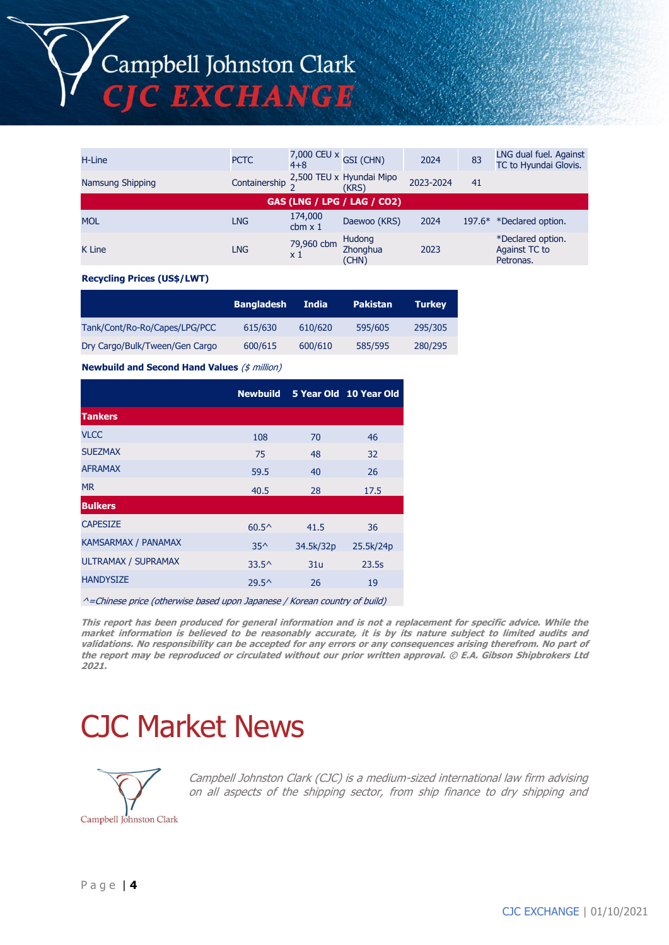| H-Line                      | <b>PCTC</b> | $4 + 8$                   | 7,000 CEU $\times$ GSI (CHN)                       | 2024      | 83 | LNG dual fuel. Against<br>TC to Hyundai Glovis. |  |
|-----------------------------|-------------|---------------------------|----------------------------------------------------|-----------|----|-------------------------------------------------|--|
| Namsung Shipping            |             |                           | Containership $\frac{2,500}{2}$ TEU x Hyundai Mipo | 2023-2024 | 41 |                                                 |  |
| GAS (LNG / LPG / LAG / CO2) |             |                           |                                                    |           |    |                                                 |  |
| <b>MOL</b>                  | <b>LNG</b>  | 174,000<br>cbm $\times$ 1 | Daewoo (KRS)                                       | 2024      |    | 197.6* *Declared option.                        |  |
| K Line                      | <b>LNG</b>  | 79,960 cbm<br>x 1         | Hudong<br>Zhonghua<br>(CHN)                        | 2023      |    | *Declared option.<br>Against TC to<br>Petronas. |  |

#### **Recycling Prices (US\$/LWT)**

|                                | <b>Bangladesh</b> | India   | <b>Pakistan</b> | <b>Turkey</b> |
|--------------------------------|-------------------|---------|-----------------|---------------|
| Tank/Cont/Ro-Ro/Capes/LPG/PCC  | 615/630           | 610/620 | 595/605         | 295/305       |
| Dry Cargo/Bulk/Tween/Gen Cargo | 600/615           | 600/610 | 585/595         | 280/295       |

**Newbuild and Second Hand Values** (\$ million)

|                            | <b>Newbuild</b> |           | 5 Year Old 10 Year Old |
|----------------------------|-----------------|-----------|------------------------|
| <b>Tankers</b>             |                 |           |                        |
| <b>VLCC</b>                | 108             | 70        | 46                     |
| <b>SUEZMAX</b>             | 75              | 48        | 32                     |
| <b>AFRAMAX</b>             | 59.5            | 40        | 26                     |
| <b>MR</b>                  | 40.5            | 28        | 17.5                   |
| <b>Bulkers</b>             |                 |           |                        |
| <b>CAPESIZE</b>            | $60.5^{\circ}$  | 41.5      | 36                     |
| <b>KAMSARMAX / PANAMAX</b> | $35^{\wedge}$   | 34.5k/32p | 25.5k/24p              |
| <b>ULTRAMAX / SUPRAMAX</b> | $33.5^{\circ}$  | 31u       | 23.5s                  |
| <b>HANDYSIZE</b>           | $29.5^{\circ}$  | 26        | 19                     |

 $^{\wedge}$ =Chinese price (otherwise based upon Japanese / Korean country of build)

**This report has been produced for general information and is not a replacement for specific advice. While the market information is believed to be reasonably accurate, it is by its nature subject to limited audits and validations. No responsibility can be accepted for any errors or any consequences arising therefrom. No part of the report may be reproduced or circulated without our prior written approval. © E.A. Gibson Shipbrokers Ltd 2021.**

# CJC Market News



Campbell Johnston Clark (CJC) is a medium-sized international law firm advising on all aspects of the shipping sector, from ship finance to dry shipping and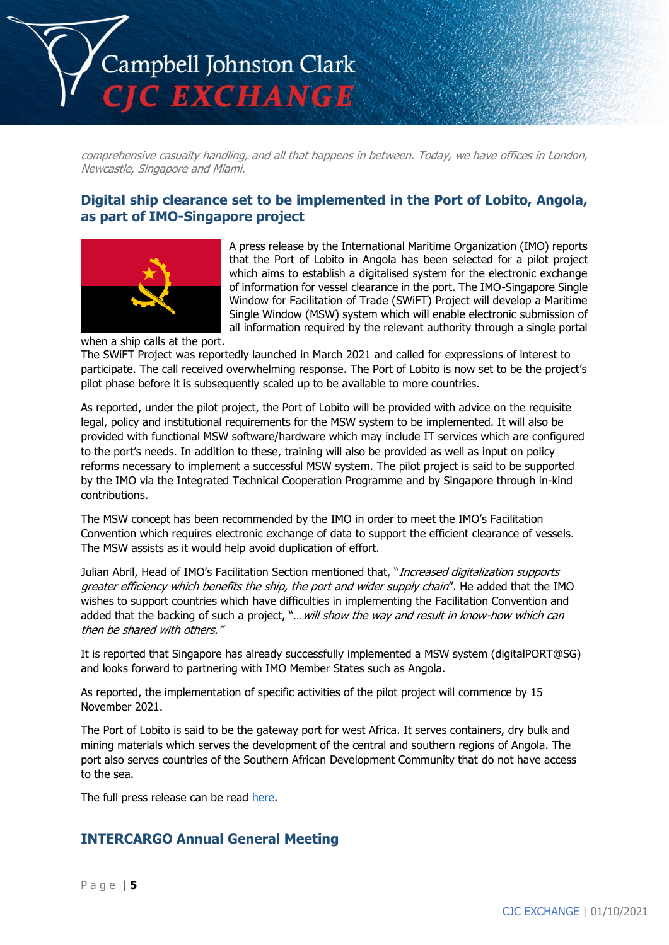

comprehensive casualty handling, and all that happens in between. Today, we have offices in London, Newcastle, Singapore and Miami.

## **Digital ship clearance set to be implemented in the Port of Lobito, Angola, as part of IMO-Singapore project**



A press release by the International Maritime Organization (IMO) reports that the Port of Lobito in Angola has been selected for a pilot project which aims to establish a digitalised system for the electronic exchange of information for vessel clearance in the port. The IMO-Singapore Single Window for Facilitation of Trade (SWiFT) Project will develop a Maritime Single Window (MSW) system which will enable electronic submission of all information required by the relevant authority through a single portal

when a ship calls at the port. The SWiFT Project was reportedly launched in March 2021 and called for expressions of interest to

participate. The call received overwhelming response. The Port of Lobito is now set to be the project's pilot phase before it is subsequently scaled up to be available to more countries.

As reported, under the pilot project, the Port of Lobito will be provided with advice on the requisite legal, policy and institutional requirements for the MSW system to be implemented. It will also be provided with functional MSW software/hardware which may include IT services which are configured to the port's needs. In addition to these, training will also be provided as well as input on policy reforms necessary to implement a successful MSW system. The pilot project is said to be supported by the IMO via the Integrated Technical Cooperation Programme and by Singapore through in-kind contributions.

The MSW concept has been recommended by the IMO in order to meet the IMO's Facilitation Convention which requires electronic exchange of data to support the efficient clearance of vessels. The MSW assists as it would help avoid duplication of effort.

Julian Abril, Head of IMO's Facilitation Section mentioned that, "*Increased digitalization supports* greater efficiency which benefits the ship, the port and wider supply chain". He added that the IMO wishes to support countries which have difficulties in implementing the Facilitation Convention and added that the backing of such a project, "... will show the way and result in know-how which can then be shared with others."

It is reported that Singapore has already successfully implemented a MSW system (digitalPORT@SG) and looks forward to partnering with IMO Member States such as Angola.

As reported, the implementation of specific activities of the pilot project will commence by 15 November 2021.

The Port of Lobito is said to be the gateway port for west Africa. It serves containers, dry bulk and mining materials which serves the development of the central and southern regions of Angola. The port also serves countries of the Southern African Development Community that do not have access to the sea.

The full press release can be read [here.](https://www.imo.org/en/MediaCentre/PressBriefings/pages/SwiftAngloa.aspx)

# **INTERCARGO Annual General Meeting**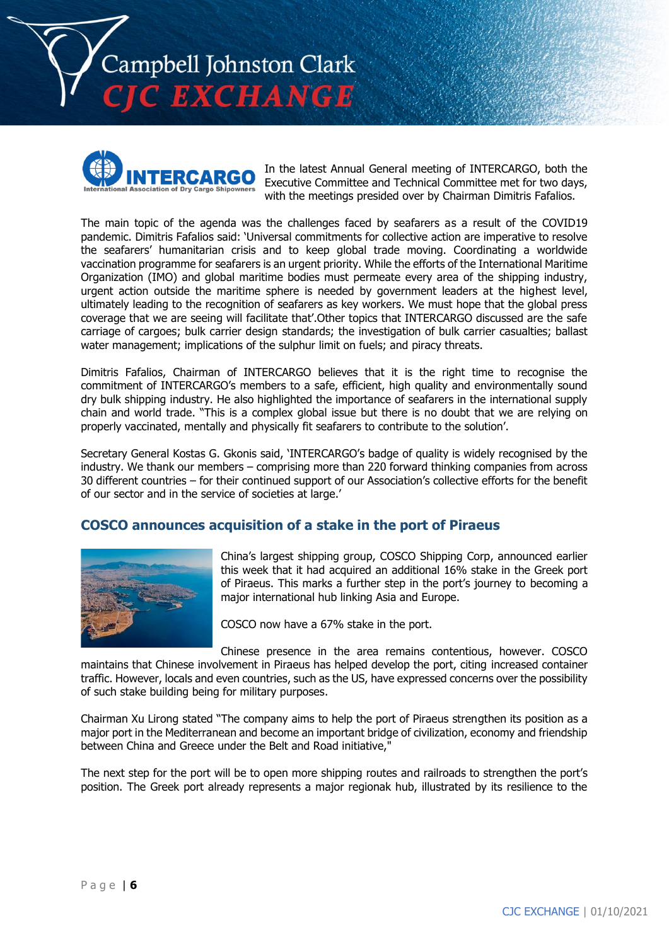



In the latest Annual General meeting of INTERCARGO, both the Executive Committee and Technical Committee met for two days, with the meetings presided over by Chairman Dimitris Fafalios.

The main topic of the agenda was the challenges faced by seafarers as a result of the COVID19 pandemic. Dimitris Fafalios said: 'Universal commitments for collective action are imperative to resolve the seafarers' humanitarian crisis and to keep global trade moving. Coordinating a worldwide vaccination programme for seafarers is an urgent priority. While the efforts of the International Maritime Organization (IMO) and global maritime bodies must permeate every area of the shipping industry, urgent action outside the maritime sphere is needed by government leaders at the highest level, ultimately leading to the recognition of seafarers as key workers. We must hope that the global press coverage that we are seeing will facilitate that'.Other topics that INTERCARGO discussed are the safe carriage of cargoes; bulk carrier design standards; the investigation of bulk carrier casualties; ballast water management; implications of the sulphur limit on fuels; and piracy threats.

Dimitris Fafalios, Chairman of INTERCARGO believes that it is the right time to recognise the commitment of INTERCARGO's members to a safe, efficient, high quality and environmentally sound dry bulk shipping industry. He also highlighted the importance of seafarers in the international supply chain and world trade. "This is a complex global issue but there is no doubt that we are relying on properly vaccinated, mentally and physically fit seafarers to contribute to the solution'.

Secretary General Kostas G. Gkonis said, 'INTERCARGO's badge of quality is widely recognised by the industry. We thank our members – comprising more than 220 forward thinking companies from across 30 different countries – for their continued support of our Association's collective efforts for the benefit of our sector and in the service of societies at large.'

## **COSCO announces acquisition of a stake in the port of Piraeus**



China's largest shipping group, COSCO Shipping Corp, announced earlier this week that it had acquired an additional 16% stake in the Greek port of Piraeus. This marks a further step in the port's journey to becoming a major international hub linking Asia and Europe.

COSCO now have a 67% stake in the port.

Chinese presence in the area remains contentious, however. COSCO maintains that Chinese involvement in Piraeus has helped develop the port, citing increased container traffic. However, locals and even countries, such as the US, have expressed concerns over the possibility of such stake building being for military purposes.

Chairman Xu Lirong stated "The company aims to help the port of Piraeus strengthen its position as a major port in the Mediterranean and become an important bridge of civilization, economy and friendship between China and Greece under the Belt and Road initiative,"

The next step for the port will be to open more shipping routes and railroads to strengthen the port's position. The Greek port already represents a major regionak hub, illustrated by its resilience to the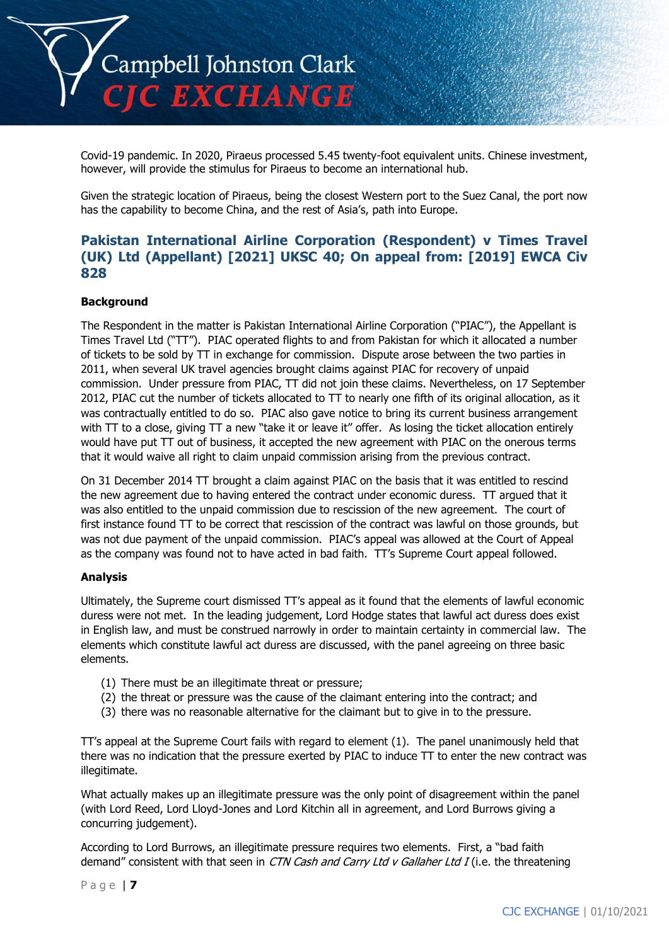

Covid-19 pandemic. In 2020, Piraeus processed 5.45 twenty-foot equivalent units. Chinese investment, however, will provide the stimulus for Piraeus to become an international hub.

Given the strategic location of Piraeus, being the closest Western port to the Suez Canal, the port now has the capability to become China, and the rest of Asia's, path into Europe.

## **Pakistan International Airline Corporation (Respondent) v Times Travel (UK) Ltd (Appellant) [2021] UKSC 40; On appeal from: [2019] EWCA Civ 828**

#### **Background**

The Respondent in the matter is Pakistan International Airline Corporation ("PIAC"), the Appellant is Times Travel Ltd ("TT"). PIAC operated flights to and from Pakistan for which it allocated a number of tickets to be sold by TT in exchange for commission. Dispute arose between the two parties in 2011, when several UK travel agencies brought claims against PIAC for recovery of unpaid commission. Under pressure from PIAC, TT did not join these claims. Nevertheless, on 17 September 2012, PIAC cut the number of tickets allocated to TT to nearly one fifth of its original allocation, as it was contractually entitled to do so. PIAC also gave notice to bring its current business arrangement with TT to a close, giving TT a new "take it or leave it" offer. As losing the ticket allocation entirely would have put TT out of business, it accepted the new agreement with PIAC on the onerous terms that it would waive all right to claim unpaid commission arising from the previous contract.

On 31 December 2014 TT brought a claim against PIAC on the basis that it was entitled to rescind the new agreement due to having entered the contract under economic duress. TT argued that it was also entitled to the unpaid commission due to rescission of the new agreement. The court of first instance found TT to be correct that rescission of the contract was lawful on those grounds, but was not due payment of the unpaid commission. PIAC's appeal was allowed at the Court of Appeal as the company was found not to have acted in bad faith. TT's Supreme Court appeal followed.

#### **Analysis**

Ultimately, the Supreme court dismissed TT's appeal as it found that the elements of lawful economic duress were not met. In the leading judgement, Lord Hodge states that lawful act duress does exist in English law, and must be construed narrowly in order to maintain certainty in commercial law. The elements which constitute lawful act duress are discussed, with the panel agreeing on three basic elements.

- (1) There must be an illegitimate threat or pressure;
- (2) the threat or pressure was the cause of the claimant entering into the contract; and
- (3) there was no reasonable alternative for the claimant but to give in to the pressure.

TT's appeal at the Supreme Court fails with regard to element (1). The panel unanimously held that there was no indication that the pressure exerted by PIAC to induce TT to enter the new contract was illegitimate.

What actually makes up an illegitimate pressure was the only point of disagreement within the panel (with Lord Reed, Lord Lloyd-Jones and Lord Kitchin all in agreement, and Lord Burrows giving a concurring judgement).

According to Lord Burrows, an illegitimate pressure requires two elements. First, a "bad faith demand" consistent with that seen in CTN Cash and Carry Ltd  $v$  Gallaher Ltd I (i.e. the threatening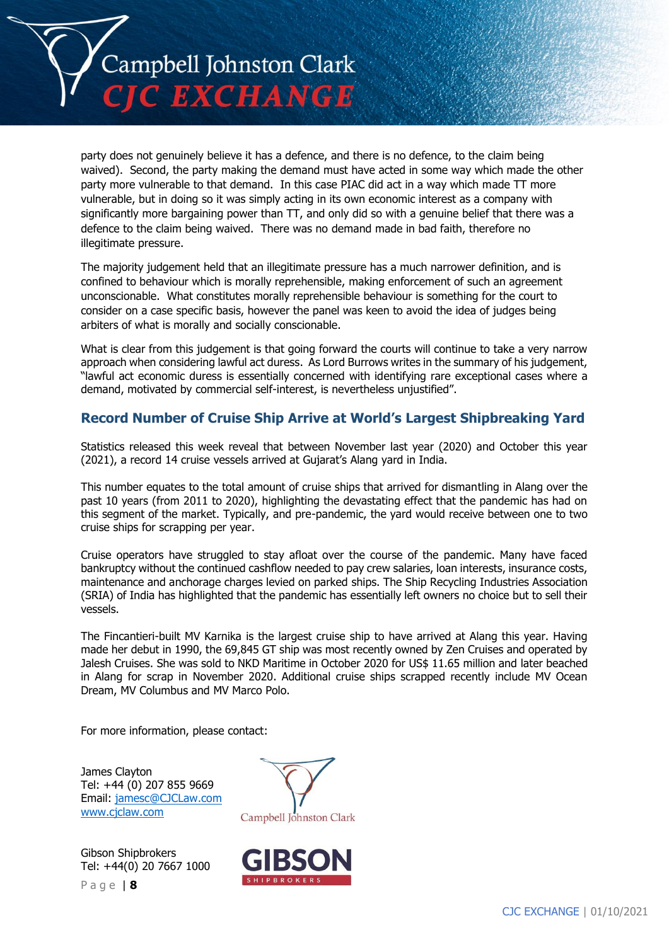

party does not genuinely believe it has a defence, and there is no defence, to the claim being waived). Second, the party making the demand must have acted in some way which made the other party more vulnerable to that demand. In this case PIAC did act in a way which made TT more vulnerable, but in doing so it was simply acting in its own economic interest as a company with significantly more bargaining power than TT, and only did so with a genuine belief that there was a defence to the claim being waived. There was no demand made in bad faith, therefore no illegitimate pressure.

The majority judgement held that an illegitimate pressure has a much narrower definition, and is confined to behaviour which is morally reprehensible, making enforcement of such an agreement unconscionable. What constitutes morally reprehensible behaviour is something for the court to consider on a case specific basis, however the panel was keen to avoid the idea of judges being arbiters of what is morally and socially conscionable.

What is clear from this judgement is that going forward the courts will continue to take a very narrow approach when considering lawful act duress. As Lord Burrows writes in the summary of his judgement, "lawful act economic duress is essentially concerned with identifying rare exceptional cases where a demand, motivated by commercial self-interest, is nevertheless unjustified".

## **Record Number of Cruise Ship Arrive at World's Largest Shipbreaking Yard**

Statistics released this week reveal that between November last year (2020) and October this year (2021), a record 14 cruise vessels arrived at Gujarat's Alang yard in India.

This number equates to the total amount of cruise ships that arrived for dismantling in Alang over the past 10 years (from 2011 to 2020), highlighting the devastating effect that the pandemic has had on this segment of the market. Typically, and pre-pandemic, the yard would receive between one to two cruise ships for scrapping per year.

Cruise operators have struggled to stay afloat over the course of the pandemic. Many have faced bankruptcy without the continued cashflow needed to pay crew salaries, loan interests, insurance costs, maintenance and anchorage charges levied on parked ships. The Ship Recycling Industries Association (SRIA) of India has highlighted that the pandemic has essentially left owners no choice but to sell their vessels.

The Fincantieri-built MV Karnika is the largest cruise ship to have arrived at Alang this year. Having made her debut in 1990, the 69,845 GT ship was most recently owned by Zen Cruises and operated by Jalesh Cruises. She was sold to NKD Maritime in October 2020 for US\$ 11.65 million and later beached in Alang for scrap in November 2020. Additional cruise ships scrapped recently include MV Ocean Dream, MV Columbus and MV Marco Polo.

For more information, please contact:

James Clayton Tel: +44 (0) 207 855 9669 Email: [jamesc@CJCLaw.com](mailto:jamesc@CJCLaw.com) [www.cjclaw.com](http://www.cjclaw.com/)

Gibson Shipbrokers Tel: +44(0) 20 7667 1000

P a g e | **8**